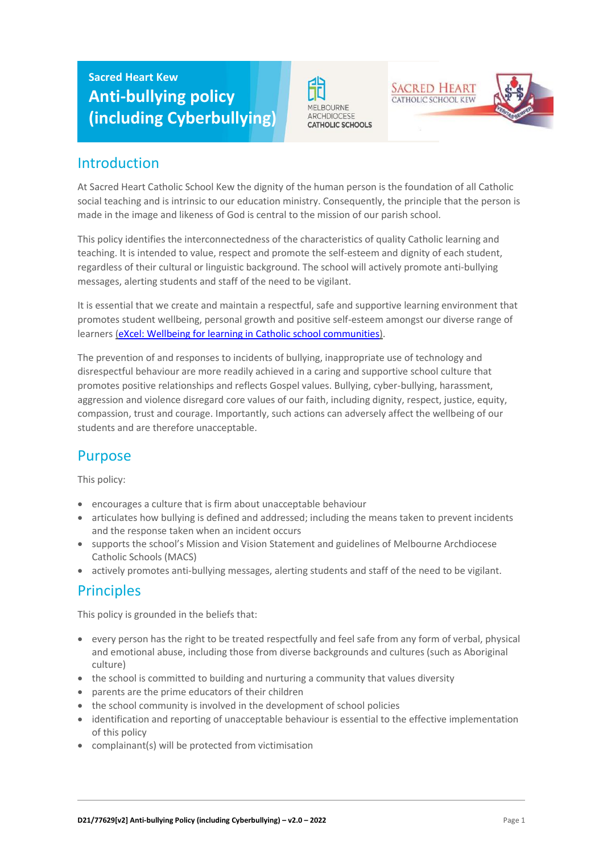# **Sacred Heart Kew Anti-bullying policy (including Cyberbullying)**





## Introduction

At Sacred Heart Catholic School Kew the dignity of the human person is the foundation of all Catholic social teaching and is intrinsic to our education ministry. Consequently, the principle that the person is made in the image and likeness of God is central to the mission of our parish school.

This policy identifies the interconnectedness of the characteristics of quality Catholic learning and teaching. It is intended to value, respect and promote the self-esteem and dignity of each student, regardless of their cultural or linguistic background. The school will actively promote anti-bullying messages, alerting students and staff of the need to be vigilant.

It is essential that we create and maintain a respectful, safe and supportive learning environment that promotes student wellbeing, personal growth and positive self-esteem amongst our diverse range of learners [\(eXcel: Wellbeing for learning in Catholic school communities\)](https://cevn.cecv.catholic.edu.au/Melb/Student-Support/Student-Wellbeing/eXcel#excel:-wellbeing-for-learning-in-catholic-school-communities).

The prevention of and responses to incidents of bullying, inappropriate use of technology and disrespectful behaviour are more readily achieved in a caring and supportive school culture that promotes positive relationships and reflects Gospel values. Bullying, cyber-bullying, harassment, aggression and violence disregard core values of our faith, including dignity, respect, justice, equity, compassion, trust and courage. Importantly, such actions can adversely affect the wellbeing of our students and are therefore unacceptable.

# Purpose

This policy:

- encourages a culture that is firm about unacceptable behaviour
- articulates how bullying is defined and addressed; including the means taken to prevent incidents and the response taken when an incident occurs
- supports the school's Mission and Vision Statement and guidelines of Melbourne Archdiocese Catholic Schools (MACS)
- actively promotes anti-bullying messages, alerting students and staff of the need to be vigilant.

### **Principles**

This policy is grounded in the beliefs that:

- every person has the right to be treated respectfully and feel safe from any form of verbal, physical and emotional abuse, including those from diverse backgrounds and cultures (such as Aboriginal culture)
- the school is committed to building and nurturing a community that values diversity
- parents are the prime educators of their children
- the school community is involved in the development of school policies
- identification and reporting of unacceptable behaviour is essential to the effective implementation of this policy
- complainant(s) will be protected from victimisation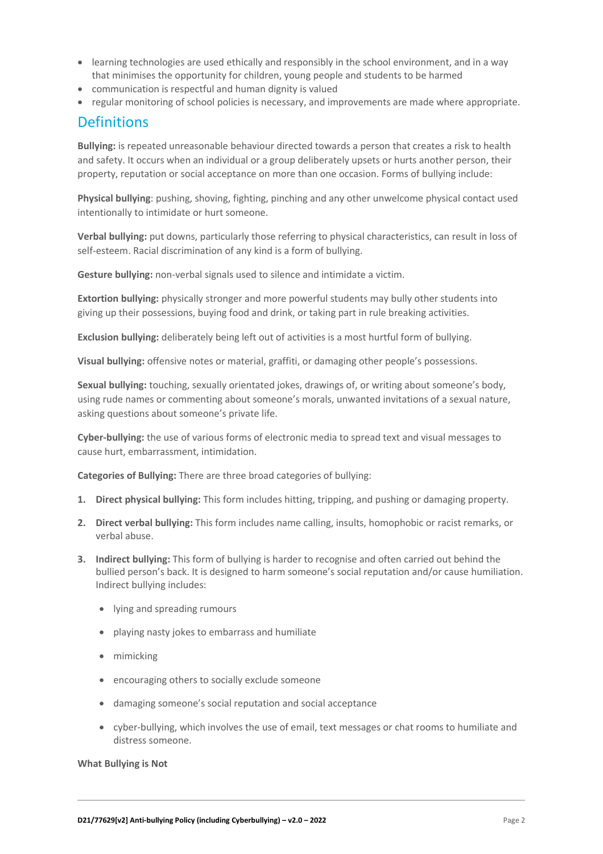- learning technologies are used ethically and responsibly in the school environment, and in a way that minimises the opportunity for children, young people and students to be harmed
- communication is respectful and human dignity is valued
- regular monitoring of school policies is necessary, and improvements are made where appropriate.

### **Definitions**

**Bullying:** is repeated unreasonable behaviour directed towards a person that creates a risk to health and safety. It occurs when an individual or a group deliberately upsets or hurts another person, their property, reputation or social acceptance on more than one occasion. Forms of bullying include:

**Physical bullying**: pushing, shoving, fighting, pinching and any other unwelcome physical contact used intentionally to intimidate or hurt someone.

**Verbal bullying:** put downs, particularly those referring to physical characteristics, can result in loss of self-esteem. Racial discrimination of any kind is a form of bullying.

**Gesture bullying:** non-verbal signals used to silence and intimidate a victim.

**Extortion bullying:** physically stronger and more powerful students may bully other students into giving up their possessions, buying food and drink, or taking part in rule breaking activities.

**Exclusion bullying:** deliberately being left out of activities is a most hurtful form of bullying.

**Visual bullying:** offensive notes or material, graffiti, or damaging other people's possessions.

**Sexual bullying:** touching, sexually orientated jokes, drawings of, or writing about someone's body, using rude names or commenting about someone's morals, unwanted invitations of a sexual nature, asking questions about someone's private life.

**Cyber-bullying:** the use of various forms of electronic media to spread text and visual messages to cause hurt, embarrassment, intimidation.

**Categories of Bullying:** There are three broad categories of bullying:

- **1. Direct physical bullying:** This form includes hitting, tripping, and pushing or damaging property.
- **2. Direct verbal bullying:** This form includes name calling, insults, homophobic or racist remarks, or verbal abuse.
- **3. Indirect bullying:** This form of bullying is harder to recognise and often carried out behind the bullied person's back. It is designed to harm someone's social reputation and/or cause humiliation. Indirect bullying includes:
	- lying and spreading rumours
	- playing nasty jokes to embarrass and humiliate
	- mimicking
	- encouraging others to socially exclude someone
	- damaging someone's social reputation and social acceptance
	- cyber-bullying, which involves the use of email, text messages or chat rooms to humiliate and distress someone.

**What Bullying is Not**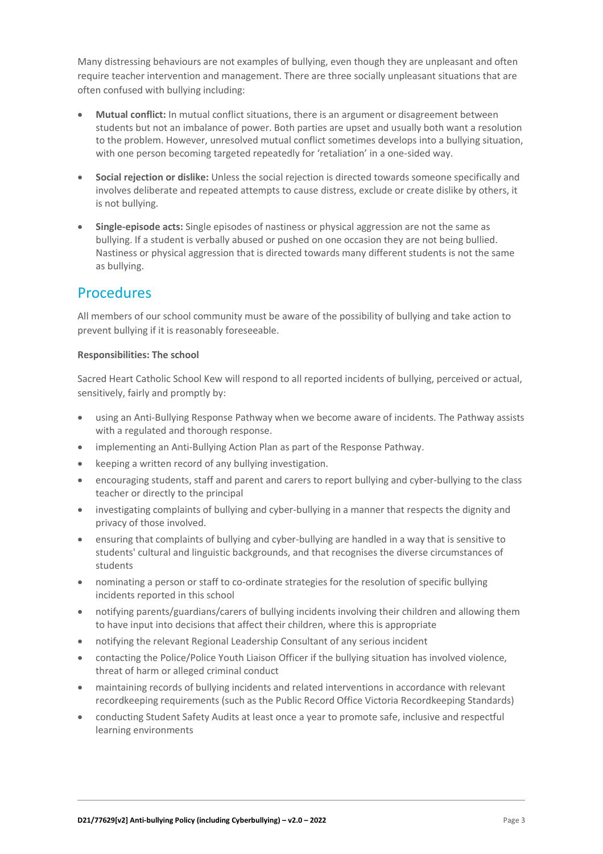Many distressing behaviours are not examples of bullying, even though they are unpleasant and often require teacher intervention and management. There are three socially unpleasant situations that are often confused with bullying including:

- **Mutual conflict:** In mutual conflict situations, there is an argument or disagreement between students but not an imbalance of power. Both parties are upset and usually both want a resolution to the problem. However, unresolved mutual conflict sometimes develops into a bullying situation, with one person becoming targeted repeatedly for 'retaliation' in a one-sided way.
- **Social rejection or dislike:** Unless the social rejection is directed towards someone specifically and involves deliberate and repeated attempts to cause distress, exclude or create dislike by others, it is not bullying.
- **Single-episode acts:** Single episodes of nastiness or physical aggression are not the same as bullying. If a student is verbally abused or pushed on one occasion they are not being bullied. Nastiness or physical aggression that is directed towards many different students is not the same as bullying.

### Procedures

All members of our school community must be aware of the possibility of bullying and take action to prevent bullying if it is reasonably foreseeable.

#### **Responsibilities: The school**

Sacred Heart Catholic School Kew will respond to all reported incidents of bullying, perceived or actual, sensitively, fairly and promptly by:

- using an Anti-Bullying Response Pathway when we become aware of incidents. The Pathway assists with a regulated and thorough response.
- implementing an Anti-Bullying Action Plan as part of the Response Pathway.
- keeping a written record of any bullying investigation.
- encouraging students, staff and parent and carers to report bullying and cyber-bullying to the class teacher or directly to the principal
- investigating complaints of bullying and cyber-bullying in a manner that respects the dignity and privacy of those involved.
- ensuring that complaints of bullying and cyber-bullying are handled in a way that is sensitive to students' cultural and linguistic backgrounds, and that recognises the diverse circumstances of students
- nominating a person or staff to co-ordinate strategies for the resolution of specific bullying incidents reported in this school
- notifying parents/guardians/carers of bullying incidents involving their children and allowing them to have input into decisions that affect their children, where this is appropriate
- notifying the relevant Regional Leadership Consultant of any serious incident
- contacting the Police/Police Youth Liaison Officer if the bullying situation has involved violence, threat of harm or alleged criminal conduct
- maintaining records of bullying incidents and related interventions in accordance with relevant recordkeeping requirements (such as the Public Record Office Victoria Recordkeeping Standards)
- conducting Student Safety Audits at least once a year to promote safe, inclusive and respectful learning environments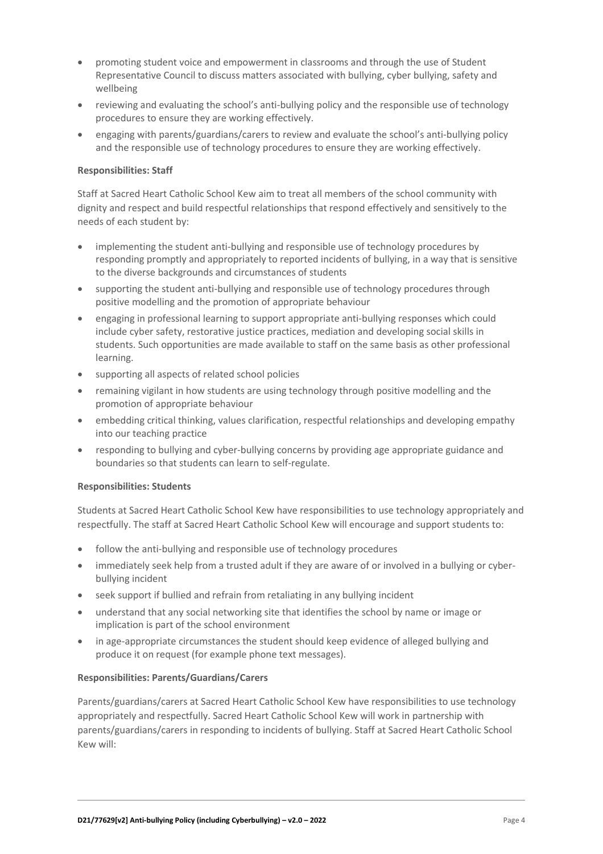- promoting student voice and empowerment in classrooms and through the use of Student Representative Council to discuss matters associated with bullying, cyber bullying, safety and wellbeing
- reviewing and evaluating the school's anti-bullying policy and the responsible use of technology procedures to ensure they are working effectively.
- engaging with parents/guardians/carers to review and evaluate the school's anti-bullying policy and the responsible use of technology procedures to ensure they are working effectively.

#### **Responsibilities: Staff**

Staff at Sacred Heart Catholic School Kew aim to treat all members of the school community with dignity and respect and build respectful relationships that respond effectively and sensitively to the needs of each student by:

- implementing the student anti-bullying and responsible use of technology procedures by responding promptly and appropriately to reported incidents of bullying, in a way that is sensitive to the diverse backgrounds and circumstances of students
- supporting the student anti-bullying and responsible use of technology procedures through positive modelling and the promotion of appropriate behaviour
- engaging in professional learning to support appropriate anti-bullying responses which could include cyber safety, restorative justice practices, mediation and developing social skills in students. Such opportunities are made available to staff on the same basis as other professional learning.
- supporting all aspects of related school policies
- remaining vigilant in how students are using technology through positive modelling and the promotion of appropriate behaviour
- embedding critical thinking, values clarification, respectful relationships and developing empathy into our teaching practice
- responding to bullying and cyber-bullying concerns by providing age appropriate guidance and boundaries so that students can learn to self-regulate.

#### **Responsibilities: Students**

Students at Sacred Heart Catholic School Kew have responsibilities to use technology appropriately and respectfully. The staff at Sacred Heart Catholic School Kew will encourage and support students to:

- follow the anti-bullying and responsible use of technology procedures
- immediately seek help from a trusted adult if they are aware of or involved in a bullying or cyberbullying incident
- seek support if bullied and refrain from retaliating in any bullying incident
- understand that any social networking site that identifies the school by name or image or implication is part of the school environment
- in age-appropriate circumstances the student should keep evidence of alleged bullying and produce it on request (for example phone text messages).

#### **Responsibilities: Parents/Guardians/Carers**

Parents/guardians/carers at Sacred Heart Catholic School Kew have responsibilities to use technology appropriately and respectfully. Sacred Heart Catholic School Kew will work in partnership with parents/guardians/carers in responding to incidents of bullying. Staff at Sacred Heart Catholic School Kew will: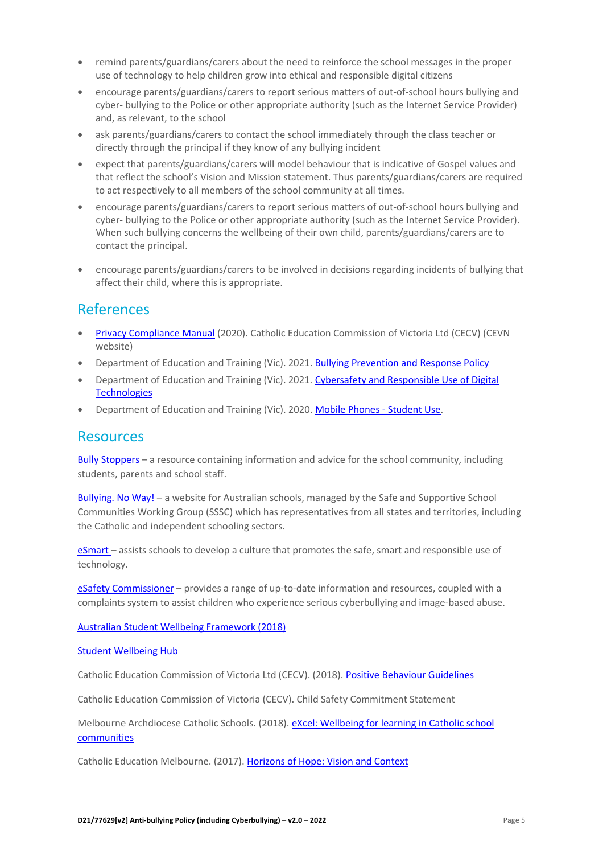- remind parents/guardians/carers about the need to reinforce the school messages in the proper use of technology to help children grow into ethical and responsible digital citizens
- encourage parents/guardians/carers to report serious matters of out-of-school hours bullying and cyber- bullying to the Police or other appropriate authority (such as the Internet Service Provider) and, as relevant, to the school
- ask parents/guardians/carers to contact the school immediately through the class teacher or directly through the principal if they know of any bullying incident
- expect that parents/guardians/carers will model behaviour that is indicative of Gospel values and that reflect the school's Vision and Mission statement. Thus parents/guardians/carers are required to act respectively to all members of the school community at all times.
- encourage parents/guardians/carers to report serious matters of out-of-school hours bullying and cyber- bullying to the Police or other appropriate authority (such as the Internet Service Provider). When such bullying concerns the wellbeing of their own child, parents/guardians/carers are to contact the principal.
- encourage parents/guardians/carers to be involved in decisions regarding incidents of bullying that affect their child, where this is appropriate.

### References

- [Privacy Compliance Manual](https://cevn.cecv.catholic.edu.au/Melb/Document-File/Polices-Compliance-and-Legal/Privacy/Privacy-Compliance-Manual.aspx) (2020). Catholic Education Commission of Victoria Ltd (CECV) (CEVN website)
- Department of Education and Training (Vic). 2021. [Bullying Prevention and Response Policy](https://www2.education.vic.gov.au/pal/bullying-prevention-response/policy)
- Department of Education and Training (Vic). 2021. [Cybersafety and Responsible Use of Digital](https://www2.education.vic.gov.au/pal/cybersafety/policy)  **[Technologies](https://www2.education.vic.gov.au/pal/cybersafety/policy)**
- Department of Education and Training (Vic). 2020. [Mobile Phones -](https://www2.education.vic.gov.au/pal/students-using-mobile-phones/policy) Student Use.

### **Resources**

Bully [Stoppers](https://www.education.vic.gov.au/about/programs/bullystoppers/Pages/default.aspx) – a resource containing information and advice for the school community, including students, parents and school staff.

[Bullying. No](https://bullyingnoway.gov.au/) Way! – a website for Australian schools, managed by the Safe and Supportive School Communities Working Group (SSSC) which has representatives from all states and territories, including the Catholic and independent schooling sectors.

[eSmart](https://www.education.vic.gov.au/about/programs/bullystoppers/Pages/esmart.aspx) - assists schools to develop a culture that promotes the safe, smart and responsible use of technology.

eSafety [Commissioner](https://www.esafety.gov.au/) – provides a range of up-to-date information and resources, coupled with a complaints system to assist children who experience serious cyberbullying and image-based abuse.

[Australian Student Wellbeing Framework \(2018\)](https://www.studentwellbeinghub.edu.au/docs/default-source/aswf_booklet-pdf.pdf)

#### [Student Wellbeing Hub](https://www.studentwellbeinghub.edu.au/)

Catholic Education Commission of Victoria Ltd (CECV). (2018)[. Positive Behaviour Guidelines](http://www.cecv.catholic.edu.au/getmedia/bc1d235d-9a98-4bb4-b3ac-84b50fa7c639/CECV-Positive-Behaviour-Guidelines_FINAL2.aspx?ext=.pdf)

Catholic Education Commission of Victoria (CECV). Child Safety Commitment Statement

Melbourne Archdiocese Catholic Schools. (2018). eXcel: Wellbeing for learning in Catholic school [communities](https://www.cem.edu.au/Our-Schools/Curriculum-Learning-Programs/Student-Wellbeing/eXcel.aspx)

Catholic Education Melbourne. (2017)[. Horizons of Hope: Vision and Context](https://www.cem.edu.au/Our-Schools/Curriculum-Learning-Programs/Horizons-of-Hope/Vision-Context.aspx)